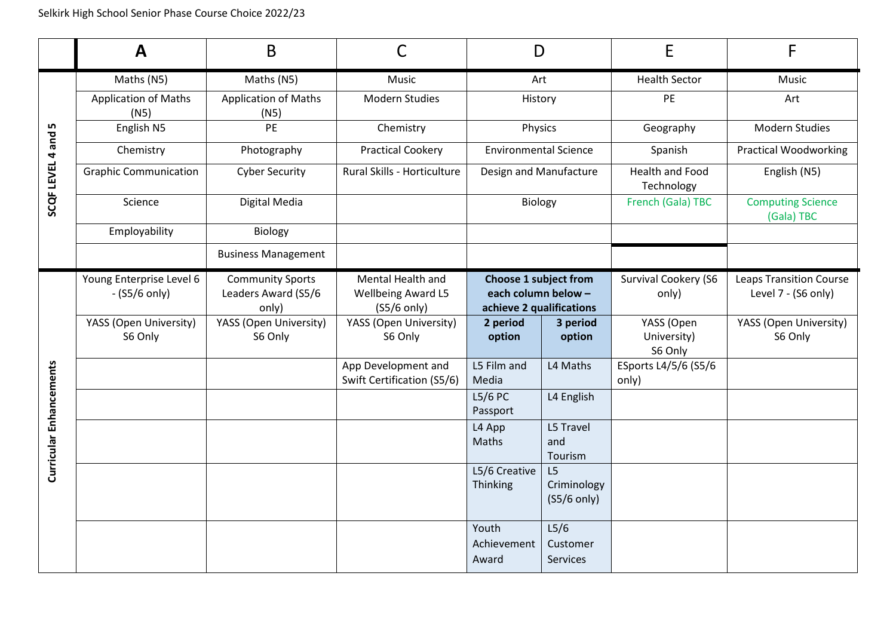|                         | A                                   | B                                   |                                            | D                                               |                                      | E                                    | F                                      |
|-------------------------|-------------------------------------|-------------------------------------|--------------------------------------------|-------------------------------------------------|--------------------------------------|--------------------------------------|----------------------------------------|
| LN,<br>SCQF LEVEL 4 and | Maths (N5)                          | Maths (N5)                          | <b>Music</b>                               | Art                                             |                                      | <b>Health Sector</b>                 | <b>Music</b>                           |
|                         | <b>Application of Maths</b><br>(N5) | <b>Application of Maths</b><br>(N5) | <b>Modern Studies</b>                      | History                                         |                                      | PE                                   | Art                                    |
|                         | English N5                          | PE                                  | Chemistry                                  | Physics                                         |                                      | Geography                            | <b>Modern Studies</b>                  |
|                         | Chemistry                           | Photography                         | <b>Practical Cookery</b>                   | <b>Environmental Science</b>                    |                                      | Spanish                              | <b>Practical Woodworking</b>           |
|                         | <b>Graphic Communication</b>        | <b>Cyber Security</b>               | Rural Skills - Horticulture                | Design and Manufacture                          |                                      | <b>Health and Food</b><br>Technology | English (N5)                           |
|                         | Science                             | Digital Media                       |                                            | Biology                                         |                                      | French (Gala) TBC                    | <b>Computing Science</b><br>(Gala) TBC |
|                         | Employability                       | Biology                             |                                            |                                                 |                                      |                                      |                                        |
|                         |                                     | <b>Business Management</b>          |                                            |                                                 |                                      |                                      |                                        |
|                         | Young Enterprise Level 6            | <b>Community Sports</b>             | Mental Health and                          | <b>Choose 1 subject from</b>                    |                                      | Survival Cookery (S6                 | <b>Leaps Transition Course</b>         |
|                         | $-(S5/6 \text{ only})$              | Leaders Award (S5/6<br>only)        | <b>Wellbeing Award L5</b><br>$(S5/6$ only) | each column below -<br>achieve 2 qualifications |                                      | only)                                | Level 7 - (S6 only)                    |
|                         | YASS (Open University)              | YASS (Open University)              | YASS (Open University)                     | 2 period                                        | 3 period                             | YASS (Open                           | YASS (Open University)                 |
|                         | S6 Only                             | S6 Only                             | S6 Only                                    | option                                          | option                               | University)<br>S6 Only               | S6 Only                                |
|                         |                                     |                                     | App Development and                        | L5 Film and                                     | L4 Maths                             | ESports L4/5/6 (S5/6                 |                                        |
|                         |                                     |                                     | Swift Certification (S5/6)                 | Media<br>L5/6 PC                                | L4 English                           | only)                                |                                        |
| Curricular Enhancements |                                     |                                     |                                            | Passport                                        |                                      |                                      |                                        |
|                         |                                     |                                     |                                            | L4 App                                          | L5 Travel                            |                                      |                                        |
|                         |                                     |                                     |                                            | <b>Maths</b>                                    | and<br>Tourism                       |                                      |                                        |
|                         |                                     |                                     |                                            | L5/6 Creative                                   | L5                                   |                                      |                                        |
|                         |                                     |                                     |                                            | Thinking                                        | Criminology<br>$(S5/6 \text{ only})$ |                                      |                                        |
|                         |                                     |                                     |                                            |                                                 |                                      |                                      |                                        |
|                         |                                     |                                     |                                            | Youth                                           | L5/6                                 |                                      |                                        |
|                         |                                     |                                     |                                            | Achievement<br>Award                            | Customer<br>Services                 |                                      |                                        |
|                         |                                     |                                     |                                            |                                                 |                                      |                                      |                                        |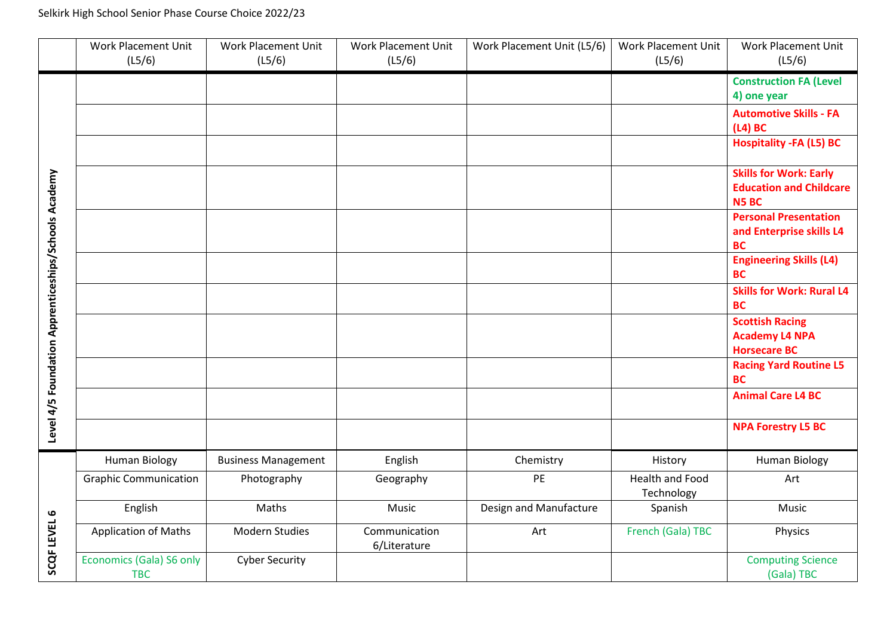## Selkirk High School Senior Phase Course Choice 2022/23

|                                                      | Work Placement Unit<br>(L5/6)          | <b>Work Placement Unit</b><br>(L5/6) | Work Placement Unit<br>(L5/6) | Work Placement Unit (L5/6) | Work Placement Unit<br>(L5/6)        | Work Placement Unit<br>(L5/6)                                                  |
|------------------------------------------------------|----------------------------------------|--------------------------------------|-------------------------------|----------------------------|--------------------------------------|--------------------------------------------------------------------------------|
| Level 4/5 Foundation Apprenticeships/Schools Academy |                                        |                                      |                               |                            |                                      | <b>Construction FA (Level</b><br>4) one year                                   |
|                                                      |                                        |                                      |                               |                            |                                      | <b>Automotive Skills - FA</b><br>$(L4)$ BC                                     |
|                                                      |                                        |                                      |                               |                            |                                      | <b>Hospitality -FA (L5) BC</b>                                                 |
|                                                      |                                        |                                      |                               |                            |                                      | <b>Skills for Work: Early</b><br><b>Education and Childcare</b><br><b>N5BC</b> |
|                                                      |                                        |                                      |                               |                            |                                      | <b>Personal Presentation</b><br>and Enterprise skills L4<br><b>BC</b>          |
|                                                      |                                        |                                      |                               |                            |                                      | <b>Engineering Skills (L4)</b><br><b>BC</b>                                    |
|                                                      |                                        |                                      |                               |                            |                                      | <b>Skills for Work: Rural L4</b><br><b>BC</b>                                  |
|                                                      |                                        |                                      |                               |                            |                                      | <b>Scottish Racing</b><br><b>Academy L4 NPA</b><br><b>Horsecare BC</b>         |
|                                                      |                                        |                                      |                               |                            |                                      | <b>Racing Yard Routine L5</b><br><b>BC</b>                                     |
|                                                      |                                        |                                      |                               |                            |                                      | <b>Animal Care L4 BC</b>                                                       |
|                                                      |                                        |                                      |                               |                            |                                      | <b>NPA Forestry L5 BC</b>                                                      |
| SCQF LEVEL 6                                         | <b>Human Biology</b>                   | <b>Business Management</b>           | English                       | Chemistry                  | History                              | <b>Human Biology</b>                                                           |
|                                                      | <b>Graphic Communication</b>           | Photography                          | Geography                     | PE                         | <b>Health and Food</b><br>Technology | Art                                                                            |
|                                                      | English                                | Maths                                | Music                         | Design and Manufacture     | Spanish                              | Music                                                                          |
|                                                      | <b>Application of Maths</b>            | Modern Studies                       | Communication<br>6/Literature | Art                        | French (Gala) TBC                    | Physics                                                                        |
|                                                      | Economics (Gala) S6 only<br><b>TBC</b> | <b>Cyber Security</b>                |                               |                            |                                      | <b>Computing Science</b><br>(Gala) TBC                                         |